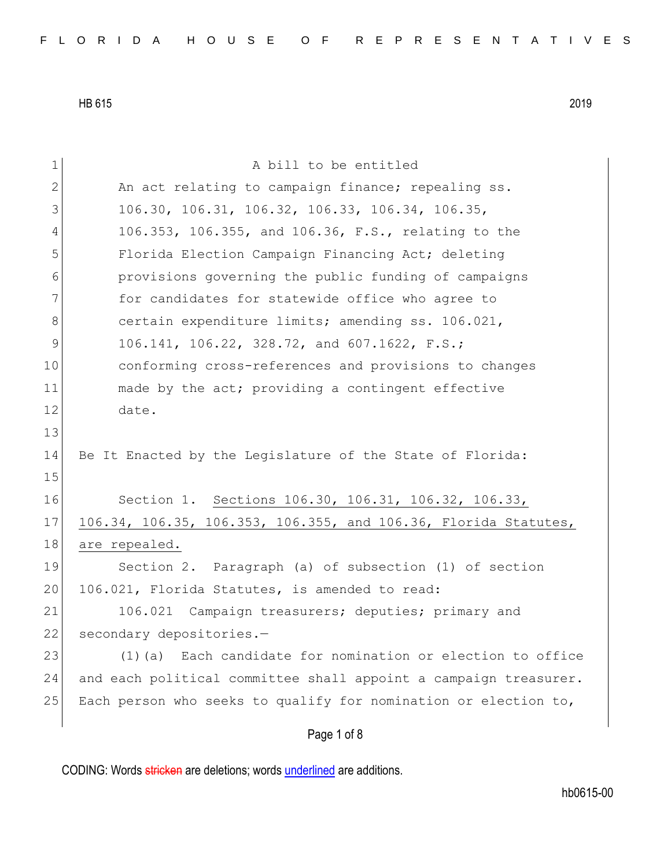| 1            | A bill to be entitled                                            |
|--------------|------------------------------------------------------------------|
| $\mathbf{2}$ | An act relating to campaign finance; repealing ss.               |
| 3            | 106.30, 106.31, 106.32, 106.33, 106.34, 106.35,                  |
| 4            | 106.353, 106.355, and 106.36, F.S., relating to the              |
| 5            | Florida Election Campaign Financing Act; deleting                |
| 6            | provisions governing the public funding of campaigns             |
| 7            | for candidates for statewide office who agree to                 |
| 8            | certain expenditure limits; amending ss. 106.021,                |
| 9            | 106.141, 106.22, 328.72, and 607.1622, F.S.;                     |
| 10           | conforming cross-references and provisions to changes            |
| 11           | made by the act; providing a contingent effective                |
| 12           | date.                                                            |
| 13           |                                                                  |
| 14           | Be It Enacted by the Legislature of the State of Florida:        |
| 15           |                                                                  |
| 16           | Section 1. Sections 106.30, 106.31, 106.32, 106.33,              |
| 17           | 106.34, 106.35, 106.353, 106.355, and 106.36, Florida Statutes,  |
| 18           | are repealed.                                                    |
| 19           | Section 2. Paragraph (a) of subsection (1) of section            |
| 20           | 106.021, Florida Statutes, is amended to read:                   |
| 21           | 106.021 Campaign treasurers; deputies; primary and               |
| 22           | secondary depositories.-                                         |
| 23           | Each candidate for nomination or election to office<br>$(1)$ (a) |
| 24           | and each political committee shall appoint a campaign treasurer. |
| 25           | Each person who seeks to qualify for nomination or election to,  |
|              | Page 1 of 8                                                      |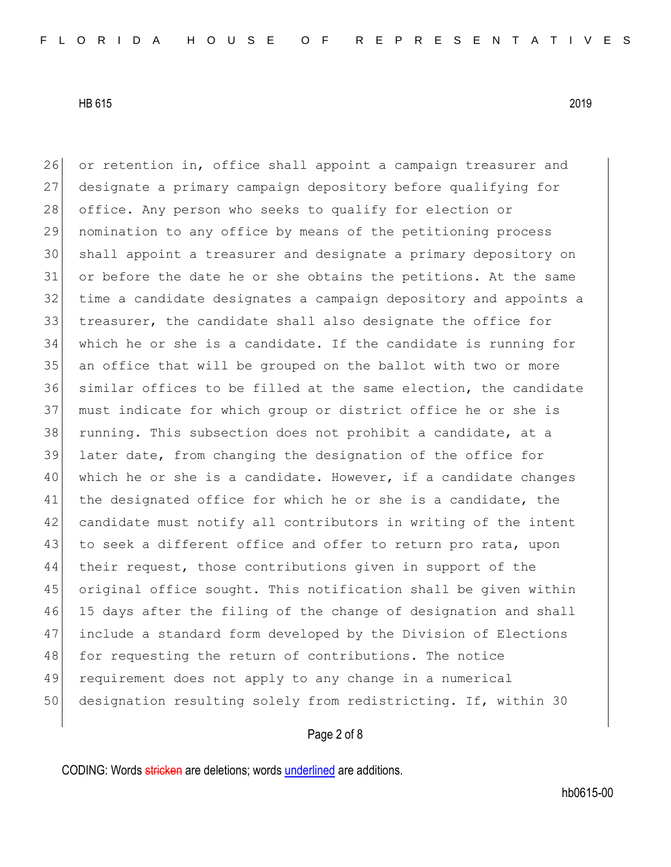26 or retention in, office shall appoint a campaign treasurer and designate a primary campaign depository before qualifying for 28 office. Any person who seeks to qualify for election or nomination to any office by means of the petitioning process shall appoint a treasurer and designate a primary depository on or before the date he or she obtains the petitions. At the same time a candidate designates a campaign depository and appoints a treasurer, the candidate shall also designate the office for which he or she is a candidate. If the candidate is running for an office that will be grouped on the ballot with two or more similar offices to be filled at the same election, the candidate must indicate for which group or district office he or she is 38 running. This subsection does not prohibit a candidate, at a later date, from changing the designation of the office for 40 which he or she is a candidate. However, if a candidate changes 41 the designated office for which he or she is a candidate, the candidate must notify all contributors in writing of the intent 43 to seek a different office and offer to return pro rata, upon their request, those contributions given in support of the original office sought. This notification shall be given within 15 days after the filing of the change of designation and shall include a standard form developed by the Division of Elections 48 for requesting the return of contributions. The notice requirement does not apply to any change in a numerical designation resulting solely from redistricting. If, within 30

#### Page 2 of 8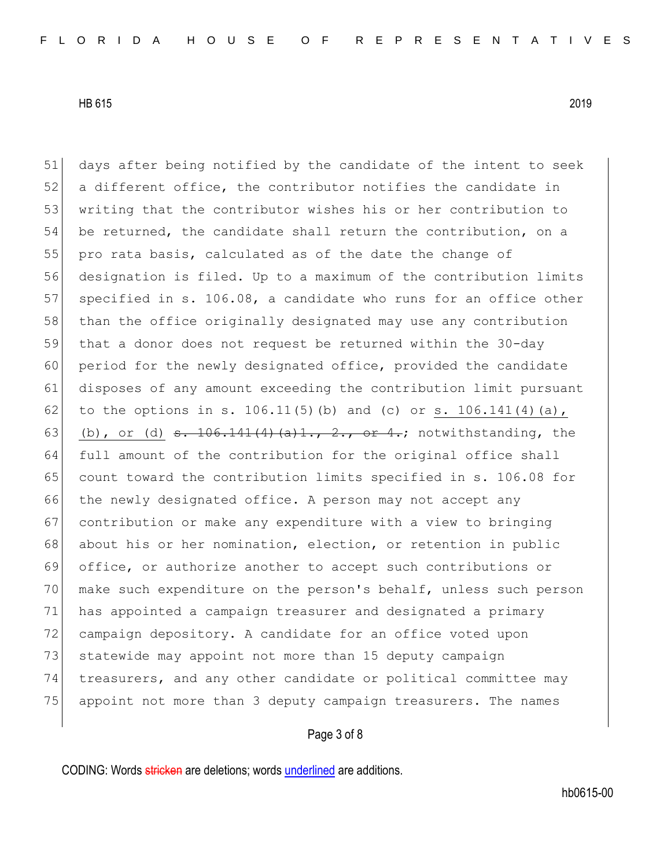51 days after being notified by the candidate of the intent to seek 52 a different office, the contributor notifies the candidate in 53 writing that the contributor wishes his or her contribution to 54 be returned, the candidate shall return the contribution, on a 55 pro rata basis, calculated as of the date the change of 56 designation is filed. Up to a maximum of the contribution limits 57 specified in s. 106.08, a candidate who runs for an office other 58 than the office originally designated may use any contribution 59 that a donor does not request be returned within the 30-day 60 period for the newly designated office, provided the candidate 61 disposes of any amount exceeding the contribution limit pursuant 62 to the options in s. 106.11(5)(b) and (c) or s. 106.141(4)(a), 63 (b), or (d)  $\frac{106.141(4)(a)1.721(0.64)}{a}$  notwithstanding, the 64 full amount of the contribution for the original office shall 65 count toward the contribution limits specified in s. 106.08 for 66 the newly designated office. A person may not accept any 67 contribution or make any expenditure with a view to bringing 68 about his or her nomination, election, or retention in public 69 office, or authorize another to accept such contributions or 70 make such expenditure on the person's behalf, unless such person 71 has appointed a campaign treasurer and designated a primary 72 campaign depository. A candidate for an office voted upon 73 statewide may appoint not more than 15 deputy campaign 74 treasurers, and any other candidate or political committee may 75 appoint not more than 3 deputy campaign treasurers. The names

## Page 3 of 8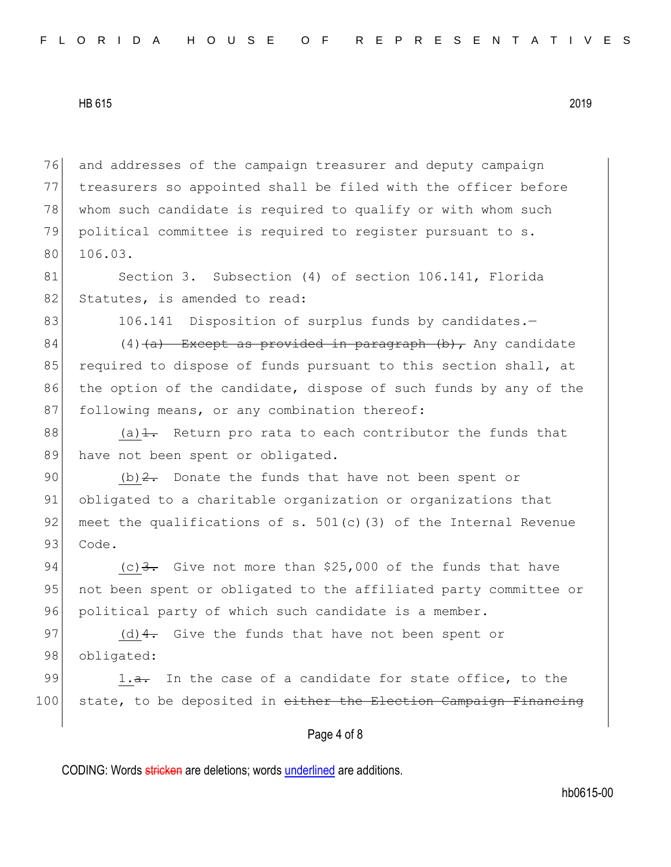76 and addresses of the campaign treasurer and deputy campaign 77 treasurers so appointed shall be filed with the officer before 78 whom such candidate is required to qualify or with whom such 79 political committee is required to register pursuant to s. 80 106.03.

81 Section 3. Subsection (4) of section 106.141, Florida 82 Statutes, is amended to read:

83 106.141 Disposition of surplus funds by candidates. -

84 (4)  $\left(4\right)$  Except as provided in paragraph (b), Any candidate 85 required to dispose of funds pursuant to this section shall, at 86 the option of the candidate, dispose of such funds by any of the 87 following means, or any combination thereof:

88 (a) $\frac{1}{1}$ . Return pro rata to each contributor the funds that 89 have not been spent or obligated.

90 (b)  $2$ . Donate the funds that have not been spent or 91 obligated to a charitable organization or organizations that 92 meet the qualifications of s.  $501(c)$  (3) of the Internal Revenue 93 Code.

94  $(c)$  3. Give not more than \$25,000 of the funds that have 95 not been spent or obligated to the affiliated party committee or 96 political party of which such candidate is a member.

97 (d)  $4$ . Give the funds that have not been spent or 98 obligated:

99 1.<del>a.</del> In the case of a candidate for state office, to the 100 state, to be deposited in either the Election Campaign Financing

### Page 4 of 8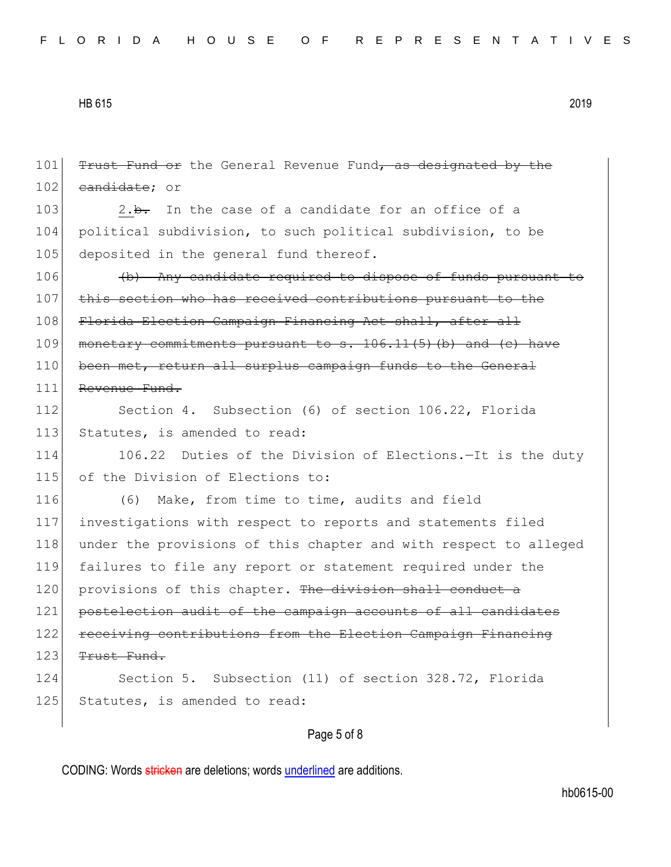101 Trust Fund or the General Revenue Fund, as designated by the 102 candidate; or 103 2.b. In the case of a candidate for an office of a 104 political subdivision, to such political subdivision, to be 105 deposited in the general fund thereof. 106 (b) Any candidate required to dispose of funds pursuant to 107 this section who has received contributions pursuant to the 108 Florida Election Campaign Financing Act shall, after all 109 monetary commitments pursuant to s. 106.11(5) (b) and (c) have 110 been met, return all surplus campaign funds to the General 111 Revenue Fund. 112 Section 4. Subsection (6) of section 106.22, Florida 113 Statutes, is amended to read: 114 106.22 Duties of the Division of Elections. - It is the duty 115 of the Division of Elections to: 116 (6) Make, from time to time, audits and field 117 investigations with respect to reports and statements filed 118 under the provisions of this chapter and with respect to alleged 119 failures to file any report or statement required under the 120 provisions of this chapter. The division shall conduct a 121 postelection audit of the campaign accounts of all candidates 122 receiving contributions from the Election Campaign Financing  $123$  Trust Fund. 124 Section 5. Subsection (11) of section 328.72, Florida 125 Statutes, is amended to read:

## Page 5 of 8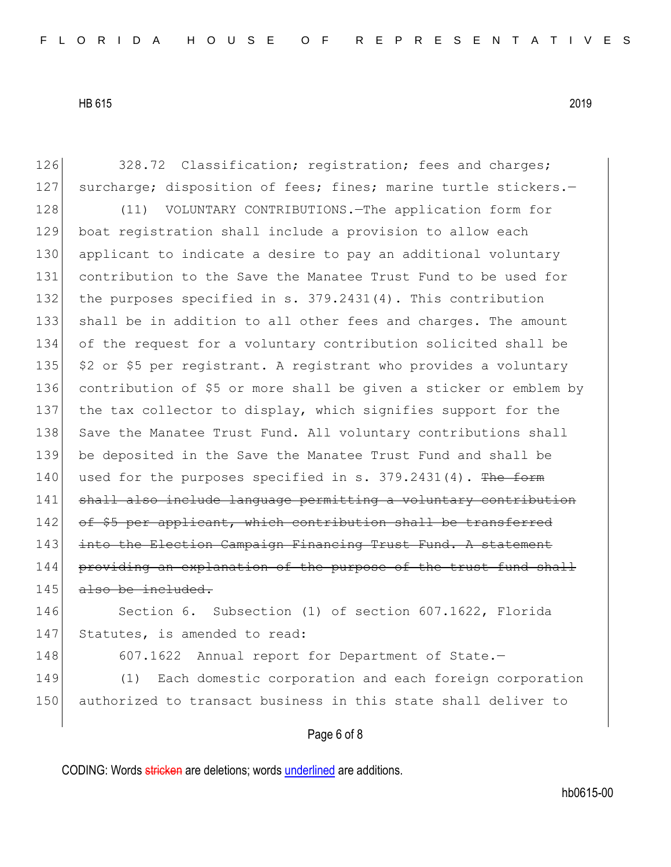126 328.72 Classification; registration; fees and charges; 127 surcharge; disposition of fees; fines; marine turtle stickers.-128 (11) VOLUNTARY CONTRIBUTIONS. The application form for 129 boat registration shall include a provision to allow each 130 applicant to indicate a desire to pay an additional voluntary 131 contribution to the Save the Manatee Trust Fund to be used for 132 the purposes specified in s. 379.2431(4). This contribution 133 shall be in addition to all other fees and charges. The amount 134 of the request for a voluntary contribution solicited shall be 135  $\frac{135}{135}$  \$2 or \$5 per registrant. A registrant who provides a voluntary 136 contribution of \$5 or more shall be given a sticker or emblem by 137 the tax collector to display, which signifies support for the 138 Save the Manatee Trust Fund. All voluntary contributions shall 139 be deposited in the Save the Manatee Trust Fund and shall be 140 used for the purposes specified in s.  $379.2431(4)$ . The form 141 shall also include language permitting a voluntary contribution 142 of \$5 per applicant, which contribution shall be transferred 143 into the Election Campaign Financing Trust Fund. A statement 144 providing an explanation of the purpose of the trust fund shall  $145$  also be included. 146 Section 6. Subsection (1) of section 607.1622, Florida 147 Statutes, is amended to read: 148 607.1622 Annual report for Department of State.-149 (1) Each domestic corporation and each foreign corporation 150 authorized to transact business in this state shall deliver to

# Page 6 of 8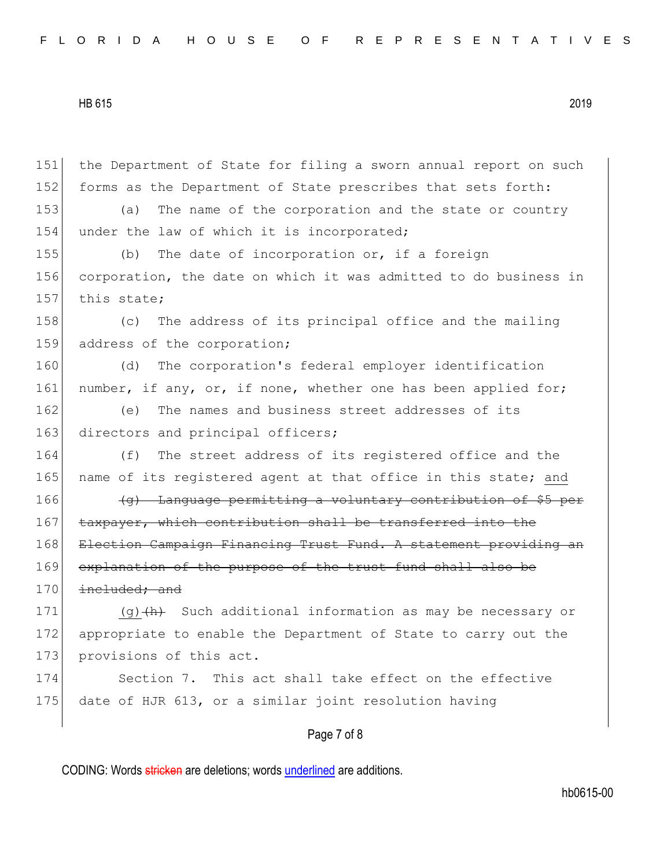Page 7 of 8 151 the Department of State for filing a sworn annual report on such 152 forms as the Department of State prescribes that sets forth: 153 (a) The name of the corporation and the state or country 154 under the law of which it is incorporated; 155 (b) The date of incorporation or, if a foreign 156 corporation, the date on which it was admitted to do business in 157 this state; 158 (c) The address of its principal office and the mailing 159 address of the corporation; 160 (d) The corporation's federal employer identification 161 number, if any, or, if none, whether one has been applied for; 162 (e) The names and business street addresses of its 163 directors and principal officers; 164 (f) The street address of its registered office and the 165 name of its registered agent at that office in this state; and 166 (g) Language permitting a voluntary contribution of \$5 per 167 taxpayer, which contribution shall be transferred into the 168 Election Campaign Financing Trust Fund. A statement providing an 169 explanation of the purpose of the trust fund shall also be  $170$  included; and 171 (g) $\frac{h}{h}$  Such additional information as may be necessary or 172 appropriate to enable the Department of State to carry out the 173 provisions of this act. 174 Section 7. This act shall take effect on the effective 175 date of HJR 613, or a similar joint resolution having